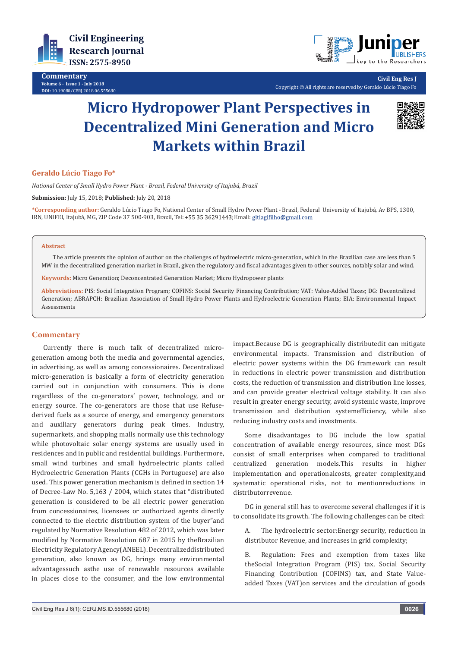

**Commentary Volume 6 - Issue 1 - July 2018 DOI:** [10.19080/CERJ.2018.06.555680](http://dx.doi.org/10.19080/CERJ.2018.06.555680)



**Civil Eng Res J** Copyright © All rights are reserved by Geraldo Lúcio Tiago Fo

# **Micro Hydropower Plant Perspectives in Decentralized Mini Generation and Micro Markets within Brazil**



## **Geraldo Lúcio Tiago Fo\***

*National Center of Small Hydro Power Plant - Brazil, Federal University of Itajubá, Brazil*

**Submission:** July 15, 2018; **Published:** July 20, 2018

**\*Corresponding author:** Geraldo Lúcio Tiago Fo, National Center of Small Hydro Power Plant - Brazil, Federal University of Itajubá, Av BPS, 1300, IRN, UNIFEI, Itajubá, MG, ZIP Code 37 500-903, Brazil, Tel: +55 35 36291443; Email: gltiagifilho@gmail.com

#### **Abstract**

The article presents the opinion of author on the challenges of hydroelectric micro-generation, which in the Brazilian case are less than 5 MW in the decentralized generation market in Brazil, given the regulatory and fiscal advantages given to other sources, notably solar and wind.

**Keywords:** Micro Generation; Deconcentrated Generation Market; Micro Hydropower plants

**Abbreviations:** PIS: Social Integration Program; COFINS: Social Security Financing Contribution; VAT: Value-Added Taxes; DG: Decentralized Generation; ABRAPCH: Brazilian Association of Small Hydro Power Plants and Hydroelectric Generation Plants; EIA: Environmental Impact Assessments

### **Commentary**

Currently there is much talk of decentralized microgeneration among both the media and governmental agencies, in advertising, as well as among concessionaires. Decentralized micro-generation is basically a form of electricity generation carried out in conjunction with consumers. This is done regardless of the co-generators' power, technology, and or energy source. The co-generators are those that use Refusederived fuels as a source of energy, and emergency generators and auxiliary generators during peak times. Industry, supermarkets, and shopping malls normally use this technology while photovoltaic solar energy systems are usually used in residences and in public and residential buildings. Furthermore, small wind turbines and small hydroelectric plants called Hydroelectric Generation Plants (CGHs in Portuguese) are also used. This power generation mechanism is defined in section 14 of Decree-Law No. 5,163 / 2004, which states that "distributed generation is considered to be all electric power generation from concessionaires, licensees or authorized agents directly connected to the electric distribution system of the buyer"and regulated by Normative Resolution 482 of 2012, which was later modified by Normative Resolution 687 in 2015 by theBrazilian Electricity Regulatory Agency(ANEEL). Decentralizeddistributed generation, also known as DG, brings many environmental advantagessuch asthe use of renewable resources available in places close to the consumer, and the low environmental

impact.Because DG is geographically distributedit can mitigate environmental impacts. Transmission and distribution of electric power systems within the DG framework can result in reductions in electric power transmission and distribution costs, the reduction of transmission and distribution line losses, and can provide greater electrical voltage stability. It can also result in greater energy security, avoid systemic waste, improve transmission and distribution systemefficiency, while also reducing industry costs and investments.

Some disadvantages to DG include the low spatial concentration of available energy resources, since most DGs consist of small enterprises when compared to traditional centralized generation models.This results in higher implementation and operationalcosts, greater complexity,and systematic operational risks, not to mentionreductions in distributorrevenue.

DG in general still has to overcome several challenges if it is to consolidate its growth. The following challenges can be cited:

A. The hydroelectric sector:Energy security, reduction in distributor Revenue, and increases in grid complexity;

B. Regulation: Fees and exemption from taxes like theSocial Integration Program (PIS) tax, Social Security Financing Contribution (COFINS) tax, and State Valueadded Taxes (VAT)on services and the circulation of goods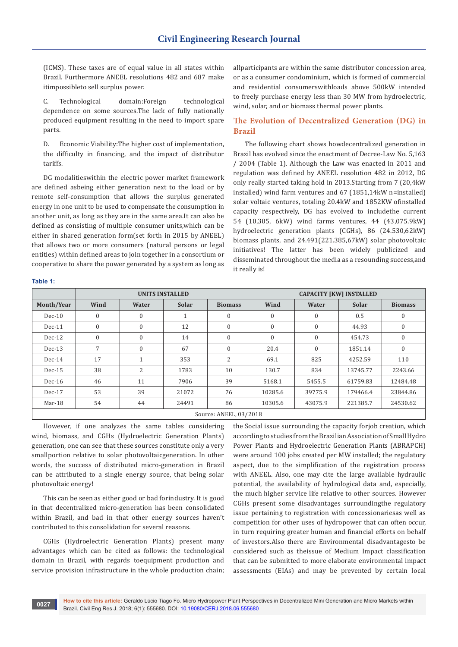(ICMS). These taxes are of equal value in all states within Brazil. Furthermore ANEEL resolutions 482 and 687 make itimpossibleto sell surplus power.

C. Technological domain:Foreign technological dependence on some sources.The lack of fully nationally produced equipment resulting in the need to import spare parts.

D. Economic Viability:The higher cost of implementation, the difficulty in financing, and the impact of distributor tariffs.

DG modalitieswithin the electric power market framework are defined asbeing either generation next to the load or by remote self-consumption that allows the surplus generated energy in one unit to be used to compensate the consumption in another unit, as long as they are in the same area.It can also be defined as consisting of multiple consumer units,which can be either in shared generation form(set forth in 2015 by ANEEL) that allows two or more consumers (natural persons or legal entities) within defined areas to join together in a consortium or cooperative to share the power generated by a system as long as

allparticipants are within the same distributor concession area, or as a consumer condominium, which is formed of commercial and residential consumerswithloads above 500kW intended to freely purchase energy less than 30 MW from hydroelectric, wind, solar, and or biomass thermal power plants.

## **The Evolution of Decentralized Generation (DG) in Brazil**

The following chart shows howdecentralized generation in Brazil has evolved since the enactment of Decree-Law No. 5,163 / 2004 (Table 1). Although the Law was enacted in 2011 and regulation was defined by ANEEL resolution 482 in 2012, DG only really started taking hold in 2013.Starting from 7 (20,4kW installed) wind farm ventures and 67 (1851,14kW n=installed) solar voltaic ventures, totaling 20.4kW and 1852KW ofinstalled capacity respectively, DG has evolved to includethe current 54 (10,305, 6kW) wind farms ventures, 44 (43,075.9kW) hydroelectric generation plants (CGHs), 86 (24.530,62kW) biomass plants, and 24.491(221.385,67kW) solar photovoltaic initiatives! The latter has been widely publicized and disseminated throughout the media as a resounding success,and it really is!

## **Table 1:**

|                        | UNITS INSTALLED  |              |              |                | <b>CAPACITY [KW] INSTALLED</b> |              |              |                |
|------------------------|------------------|--------------|--------------|----------------|--------------------------------|--------------|--------------|----------------|
| Month/Year             | Wind             | Water        | <b>Solar</b> | <b>Biomass</b> | Wind                           | Water        | <b>Solar</b> | <b>Biomass</b> |
| $Dec-10$               | $\boldsymbol{0}$ | $\mathbf{0}$ |              | $\mathbf{0}$   | $\mathbf{0}$                   | 0            | 0.5          | $\mathbf{0}$   |
| $Dec-11$               | $\boldsymbol{0}$ | $\mathbf{0}$ | 12           | $\mathbf{0}$   | $\mathbf{0}$                   | 0            | 44.93        | $\mathbf{0}$   |
| $Dec-12$               | $\mathbf{0}$     | $\mathbf{0}$ | 14           | $\mathbf{0}$   | $\mathbf{0}$                   | $\mathbf{0}$ | 454.73       | $\mathbf{0}$   |
| $Dec-13$               | 7                | $\mathbf{0}$ | 67           | $\mathbf{0}$   | 20.4                           | $\mathbf{0}$ | 1851.14      | $\mathbf{0}$   |
| $Dec-14$               | 17               | $\mathbf{1}$ | 353          | 2              | 69.1                           | 825          | 4252.59      | 110            |
| $Dec-15$               | 38               | 2            | 1783         | 10             | 130.7                          | 834          | 13745.77     | 2243.66        |
| $Dec-16$               | 46               | 11           | 7906         | 39             | 5168.1                         | 5455.5       | 61759.83     | 12484.48       |
| $Dec-17$               | 53               | 39           | 21072        | 76             | 10285.6                        | 39775.9      | 179466.4     | 23844.86       |
| Mar-18                 | 54               | 44           | 24491        | 86             | 10305.6                        | 43075.9      | 221385.7     | 24530.62       |
| Source: ANEEL, 03/2018 |                  |              |              |                |                                |              |              |                |

However, if one analyzes the same tables considering wind, biomass, and CGHs (Hydroelectric Generation Plants) generation, one can see that these sources constitute only a very smallportion relative to solar photovoltaicgeneration. In other words, the success of distributed micro-generation in Brazil can be attributed to a single energy source, that being solar photovoltaic energy!

This can be seen as either good or bad forindustry. It is good in that decentralized micro-generation has been consolidated within Brazil, and bad in that other energy sources haven't contributed to this consolidation for several reasons.

CGHs (Hydroelectric Generation Plants) present many advantages which can be cited as follows: the technological domain in Brazil, with regards toequipment production and service provision infrastructure in the whole production chain;

the Social issue surrounding the capacity forjob creation, which according to studies from the Brazilian Association of Small Hydro Power Plants and Hydroelectric Generation Plants (ABRAPCH) were around 100 jobs created per MW installed; the regulatory aspect, due to the simplification of the registration process with ANEEL. Also, one may cite the large available hydraulic potential, the availability of hydrological data and, especially, the much higher service life relative to other sources. However CGHs present some disadvantages surroundingthe regulatory issue pertaining to registration with concessionariesas well as competition for other uses of hydropower that can often occur, in turn requiring greater human and financial efforts on behalf of investors.Also there are Environmental disadvantagesto be considered such as theissue of Medium Impact classification that can be submitted to more elaborate environmental impact assessments (EIAs) and may be prevented by certain local